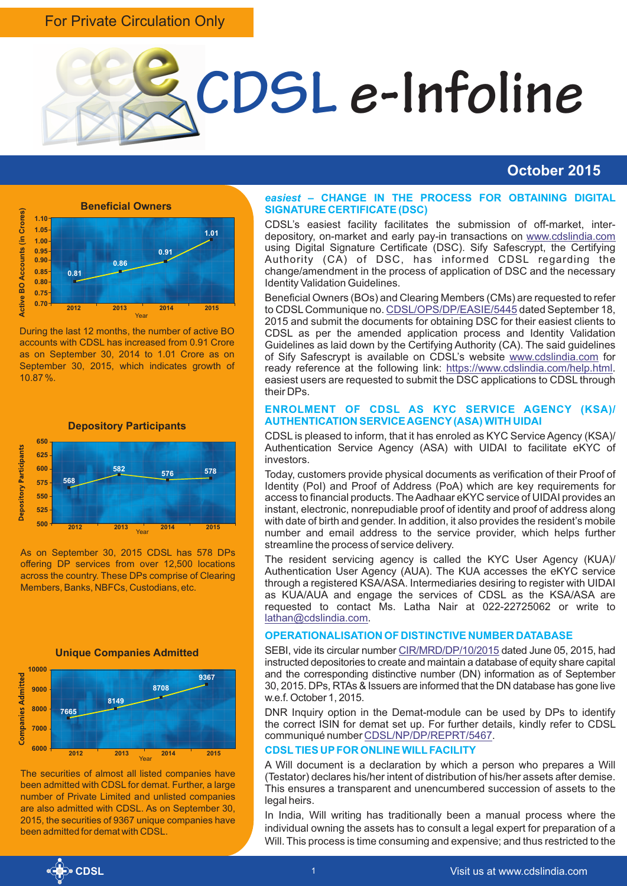# For Private Circulation Only



# **October 2015**



During the last 12 months, the number of active BO accounts with CDSL has increased from 0.91 Crore as on September 30, 2014 to 1.01 Crore as on September 30, 2015, which indicates growth of 10.87 %.



As on September 30, 2015 CDSL has 578 DPs offering DP services from over 12,500 locations across the country. These DPs comprise of Clearing Members, Banks, NBFCs, Custodians, etc.



**Unique Companies Admitted** 



The securities of almost all listed companies have been admitted with CDSL for demat. Further, a large number of Private Limited and unlisted companies are also admitted with CDSL. As on September 30, 2015, the securities of 9367 unique companies have been admitted for demat with CDSL.

#### *easiest* **– CHANGE IN THE PROCESS FOR OBTAINING DIGITAL SIGNATURE CERTIFICATE (DSC)**

CDSL's easiest facility facilitates the submission of off-market, interdepository, on-market and early pay-in transactions on [www.cdslindia.com](http://www.cdslindia.com) using Digital Signature Certificate (DSC). Sify Safescrypt, the Certifying Authority (CA) of DSC, has informed CDSL regarding the change/amendment in the process of application of DSC and the necessary Identity Validation Guidelines.

Beneficial Owners (BOs) and Clearing Members (CMs) are requested to refer toCDSL Communique no. CDSL/OPS/DP/EASIE/5445 dated September 18, 2015 and submit the documents for obtaining DSC for their easiest clients to CDSL as per the amended application process and Identity Validation Guidelines as laid down by the Certifying Authority (CA). The said guidelines of Sify Safescrypt is available on CDSL's website [www.cdslindia.com](http://www.cdslindia.com) for ready reference at the following link: <https://www.cdslindia.com/help.html>. easiest users are requested to submit the DSC applications to CDSL through their DPs.

### **ENROLMENT OF CDSL AS KYC SERVICE AGENCY (KSA)/ AUTHENTICATION SERVICE AGENCY(ASA) WITH UIDAI**

CDSLis pleased to inform, that it has enroled as KYC Service Agency (KSA)/ Authentication Service Agency (ASA) with UIDAI to facilitate eKYC of investors.

Today, customers provide physical documents as verification of their Proof of Identity (PoI) and Proof of Address (PoA) which are key requirements for access to financial products. The Aadhaar eKYC service of UIDAI provides an instant, electronic, nonrepudiable proof of identity and proof of address along with date of birth and gender. In addition, it also provides the resident's mobile number and email address to the service provider, which helps further streamline the process of service delivery.

The resident servicing agency is called the KYC User Agency (KUA)/ Authentication User Agency (AUA). The KUA accesses the eKYC service through a registered KSA/ASA. Intermediaries desiring to register with UIDAI as KUA/AUA and engage the services of CDSL as the KSA/ASA are requested to contact Ms. Latha Nair at 022-22725062 or write to [lathan@cdslindia.com](mailto:lathan@cdslindia.com).

### **OPERATIONALISATION OF DISTINCTIVE NUMBER DATABASE**

SEBI,vide its circular number CIR/MRD/DP/10/2015 dated June 05, 2015, had instructed depositories to create and maintain a database of equity share capital and the corresponding distinctive number (DN) information as of September 30, 2015. DPs, RTAs & Issuers are informed that the DN database has gone live w.e.f. October 1, 2015.

DNR Inquiry option in the Demat-module can be used by DPs to identify the correct ISIN for demat set up. For further details, kindly refer to CDSL communiqué number [CDSL/NP/DP/REPRT/5467](https://www.cdslindia.com/publications/commprocedure.aspx?eventid=DP5467).

### **CDSLTIES UPFOR ONLINE WILLFACILITY**

A Will document is a declaration by which a person who prepares a Will (Testator) declares his/her intent of distribution of his/her assets after demise. This ensures a transparent and unencumbered succession of assets to the legal heirs.

In India, Will writing has traditionally been a manual process where the individual owning the assets has to consult a legal expert for preparation of a Will. This process is time consuming and expensive; and thus restricted to the

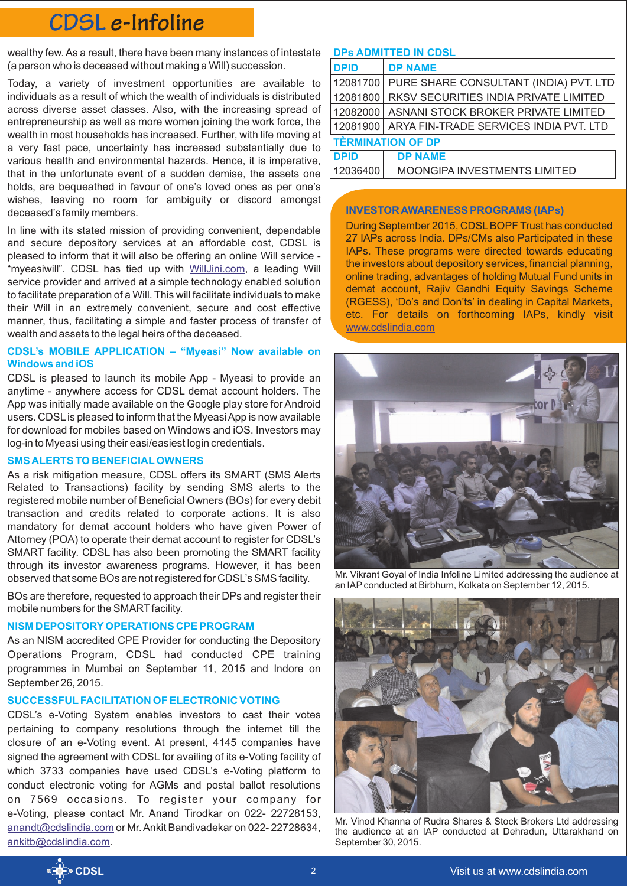# **CDSL e-Infoline**

wealthy few. As a result, there have been many instances of intestate **DPs ADMITTED IN CDSL** (a person who is deceased without making a Will) succession.

Today, a variety of investment opportunities are available to individuals as a result of which the wealth of individuals is distributed across diverse asset classes. Also, with the increasing spread of entrepreneurship as well as more women joining the work force, the wealth in most households has increased. Further, with life moving at a very fast pace, uncertainty has increased substantially due to various health and environmental hazards. Hence, it is imperative, that in the unfortunate event of a sudden demise, the assets one holds, are bequeathed in favour of one's loved ones as per one's wishes, leaving no room for ambiguity or discord amongst deceased's family members.

In line with its stated mission of providing convenient, dependable and secure depository services at an affordable cost, CDSL is pleased to inform that it will also be offering an online Will service - "myeasiwill". CDSL has tied up with *[WillJini.com](https://www.willjini.com/)*, a leading Will service provider and arrived at a simple technology enabled solution to facilitate preparation of a Will. This will facilitate individuals to make their Will in an extremely convenient, secure and cost effective manner, thus, facilitating a simple and faster process of transfer of wealth and assets to the legal heirs of the deceased.

# **CDSL's MOBILE APPLICATION – "Myeasi" Now available on Windows and iOS**

CDSL is pleased to launch its mobile App - Myeasi to provide an anytime - anywhere access for CDSL demat account holders. The App was initially made available on the Google play store for Android users. CDSLis pleased to inform that the Myeasi App is now available for download for mobiles based on Windows and iOS. Investors may log-in to Myeasi using their easi/easiest login credentials.

### **SMS ALERTS TO BENEFICIALOWNERS**

As a risk mitigation measure, CDSL offers its SMART (SMS Alerts Related to Transactions) facility by sending SMS alerts to the registered mobile number of Beneficial Owners (BOs) for every debit transaction and credits related to corporate actions. It is also mandatory for demat account holders who have given Power of Attorney (POA) to operate their demat account to register for CDSL's SMART facility. CDSL has also been promoting the SMART facility through its investor awareness programs. However, it has been observed that some BOs are not registered for CDSL's SMS facility.

BOs are therefore, requested to approach their DPs and register their mobile numbers for the SMART facility.

# **NISM DEPOSITORYOPERATIONS CPE PROGRAM**

As an NISM accredited CPE Provider for conducting the Depository Operations Program, CDSL had conducted CPE training programmes in Mumbai on September 11, 2015 and Indore on September 26, 2015.

# **SUCCESSFULFACILITATION OF ELECTRONIC VOTING**

CDSL's e-Voting System enables investors to cast their votes pertaining to company resolutions through the internet till the closure of an e-Voting event. At present, 4145 companies have signed the agreement with CDSL for availing of its e-Voting facility of which 3733 companies have used CDSL's e-Voting platform to conduct electronic voting for AGMs and postal ballot resolutions on 7569 occasions. To register your company for e-Voting, please contact Mr. Anand Tirodkar on 022- 22728153, <u>[anandt@cdslindia.com](mailto:anandt@cdslindia.com)</u> or Mr. Ankit Bandivadekar on 022- 22728634, . [ankitb@cdslindia.com](mailto:ankitb@cdslindia.com)

| <b>DPID</b>              | <b>DP NAME</b>                         |
|--------------------------|----------------------------------------|
| 12081700                 | PURE SHARE CONSULTANT (INDIA) PVT. LTD |
| 12081800                 | RKSV SECURITIES INDIA PRIVATE LIMITED  |
| 12082000                 | ASNANI STOCK BROKER PRIVATE LIMITED    |
| 12081900                 | ARYA FIN-TRADE SERVICES INDIA PVT. LTD |
| <b>TÈRMINATION OF DP</b> |                                        |
| <b>DPID</b>              | <b>DP NAME</b>                         |
| 12036400                 | MOONGIPA INVESTMENTS LIMITED           |

#### **INVESTOR AWARENESS PROGRAMS (IAPs)**

During September 2015, CDSLBOPF Trust has conducted 27 IAPs across India. DPs/CMs also Participated in these IAPs. These programs were directed towards educating the investors about depository services, financial planning, online trading, advantages of holding Mutual Fund units in demat account, Rajiv Gandhi Equity Savings Scheme (RGESS), 'Do's and Don'ts' in dealing in Capital Markets, etc. For details on forthcoming IAPs, kindly visit <www.cdslindia.com>



Mr. Vikrant Goyal of India Infoline Limited addressing the audience at an IAPconducted at Birbhum, Kolkata on September 12, 2015.



Mr. Vinod Khanna of Rudra Shares & Stock Brokers Ltd addressing the audience at an IAP conducted at Dehradun, Uttarakhand on September 30, 2015.